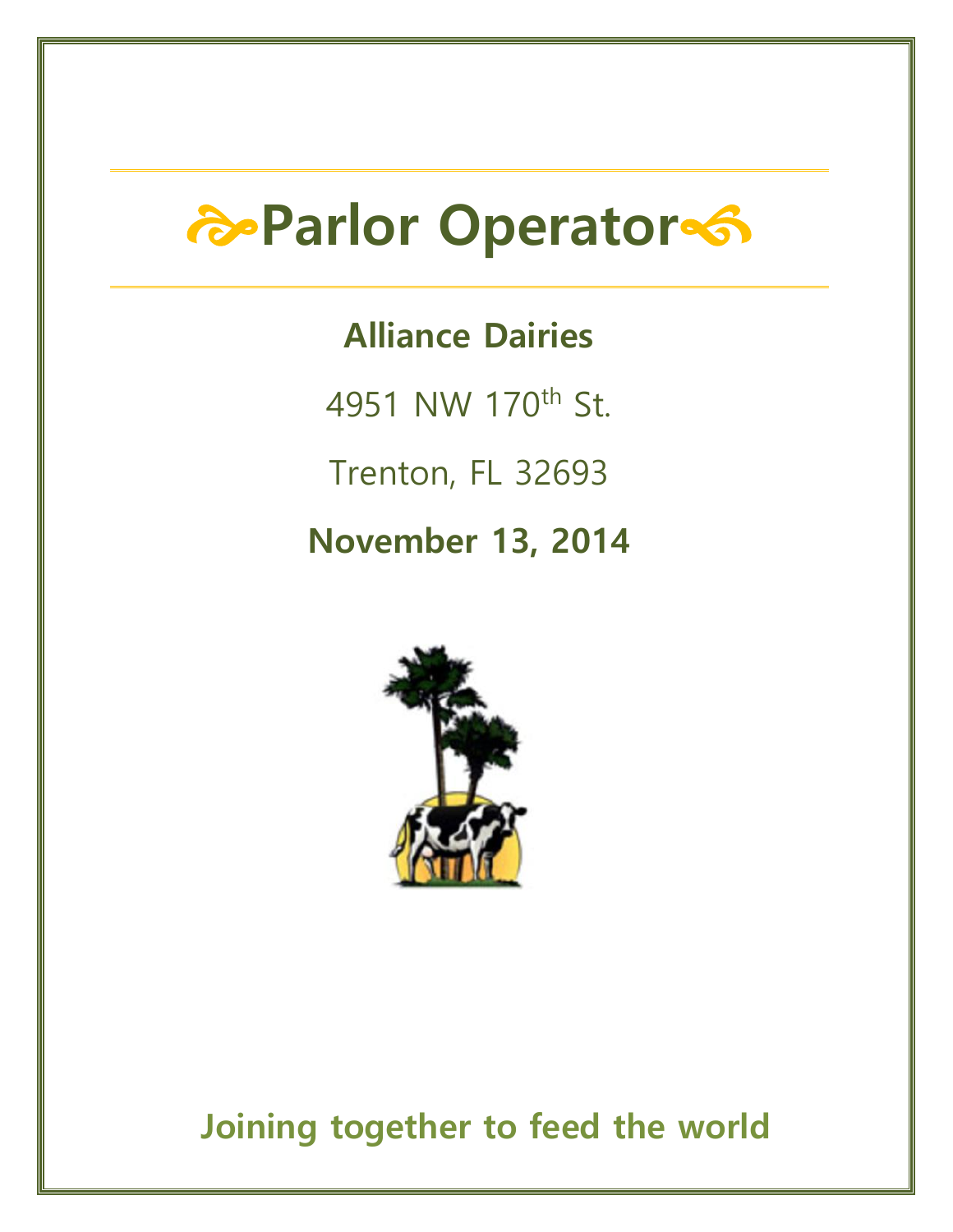# **Parlor Operator**

# **Alliance Dairies**

4951 NW 170th St.

Trenton, FL 32693

## **November 13, 2014**



**Joining together to feed the world**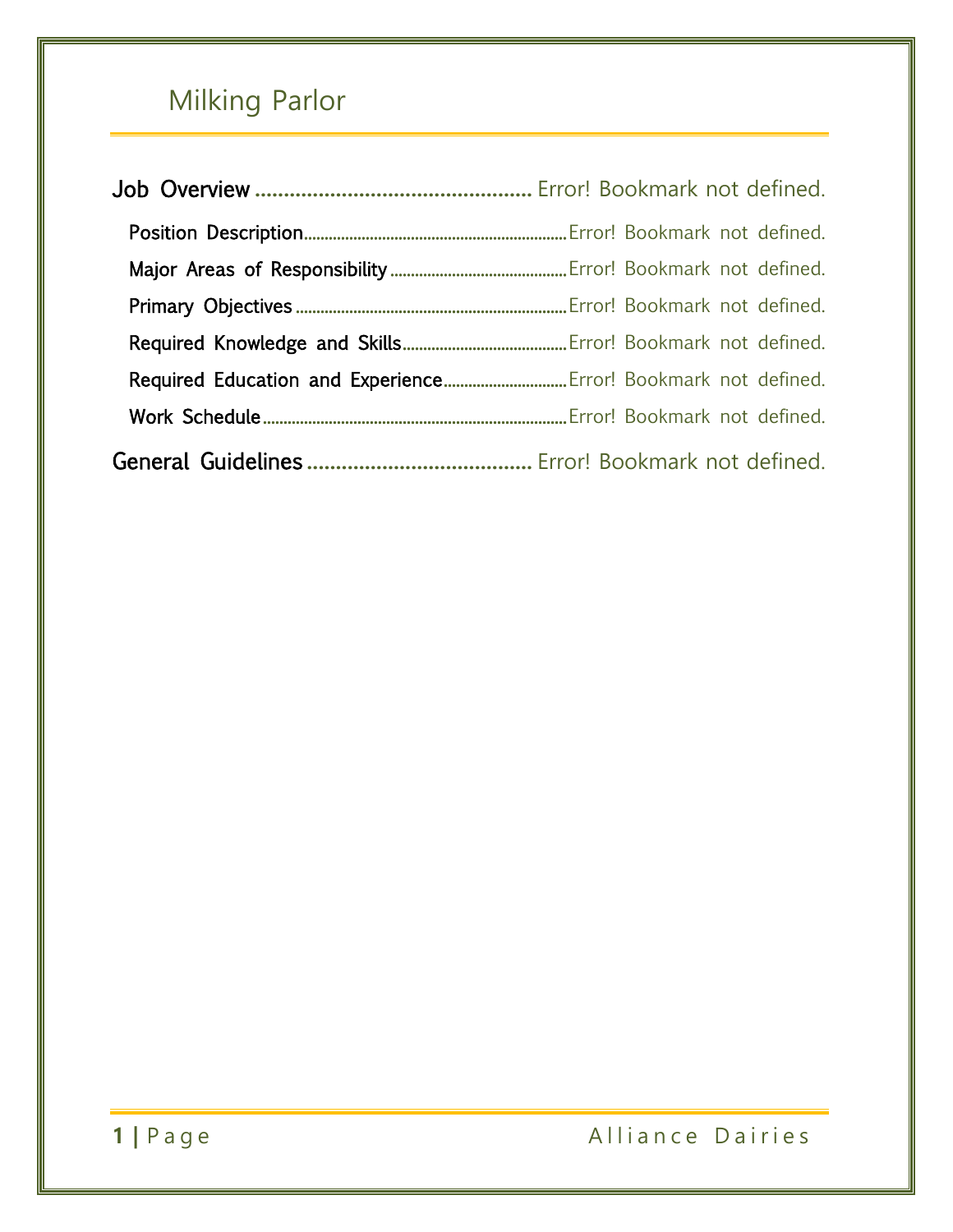# Milking Parlor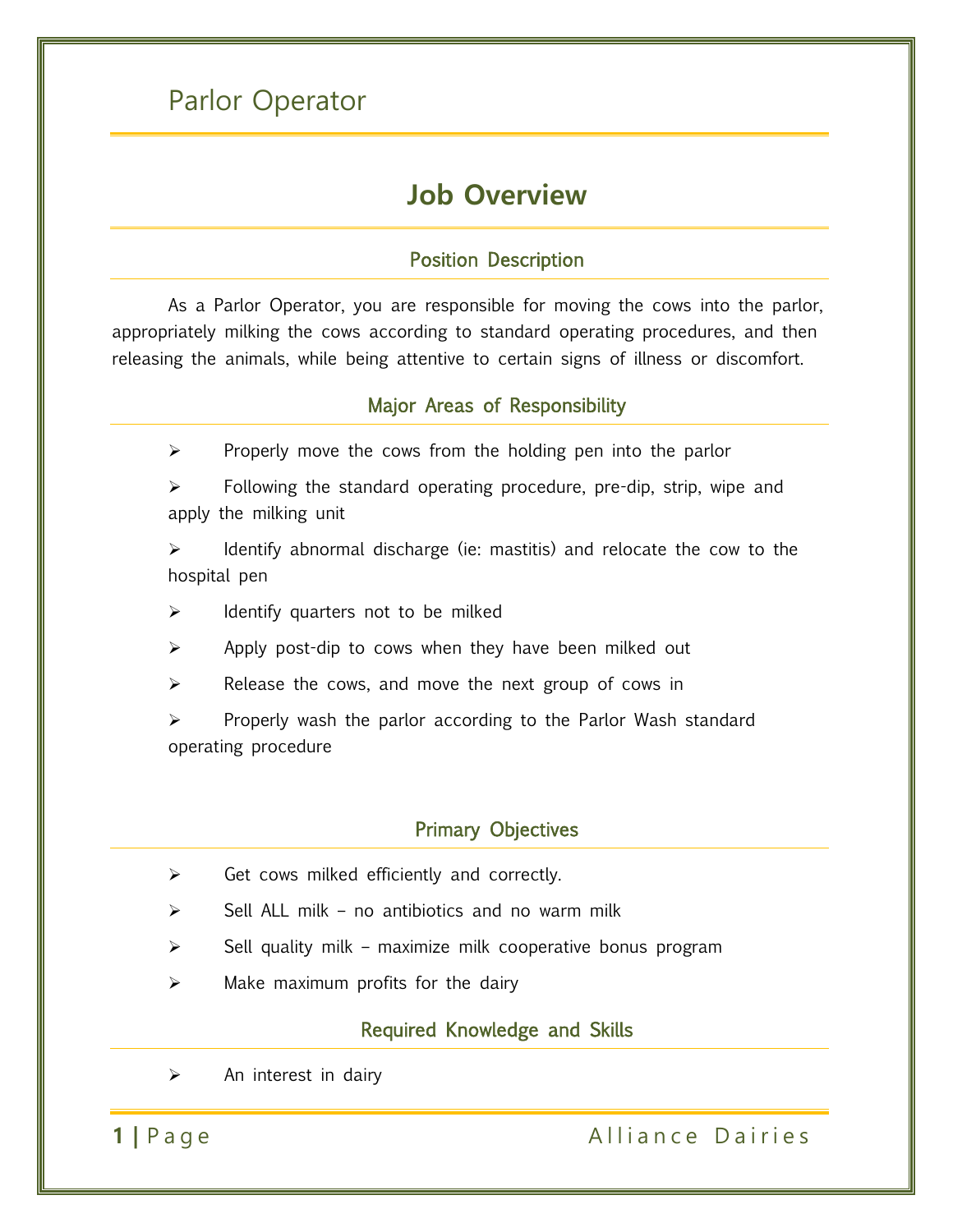### Parlor Operator

### **Job Overview**

#### Position Description

As a Parlor Operator, you are responsible for moving the cows into the parlor, appropriately milking the cows according to standard operating procedures, and then releasing the animals, while being attentive to certain signs of illness or discomfort.

#### Major Areas of Responsibility

- $\triangleright$  Properly move the cows from the holding pen into the parlor
- $\triangleright$  Following the standard operating procedure, pre-dip, strip, wipe and apply the milking unit

 $\triangleright$  Identify abnormal discharge (ie: mastitis) and relocate the cow to the hospital pen

 $\triangleright$  Identify quarters not to be milked

- $\triangleright$  Apply post-dip to cows when they have been milked out
- $\triangleright$  Release the cows, and move the next group of cows in

 $\triangleright$  Properly wash the parlor according to the Parlor Wash standard operating procedure

#### Primary Objectives

- $\triangleright$  Get cows milked efficiently and correctly.
- $\triangleright$  Sell ALL milk no antibiotics and no warm milk
- Sell quality milk maximize milk cooperative bonus program
- $\triangleright$  Make maximum profits for the dairy

#### Required Knowledge and Skills

 $\triangleright$  An interest in dairy

#### **1** | Page Alliance Dairies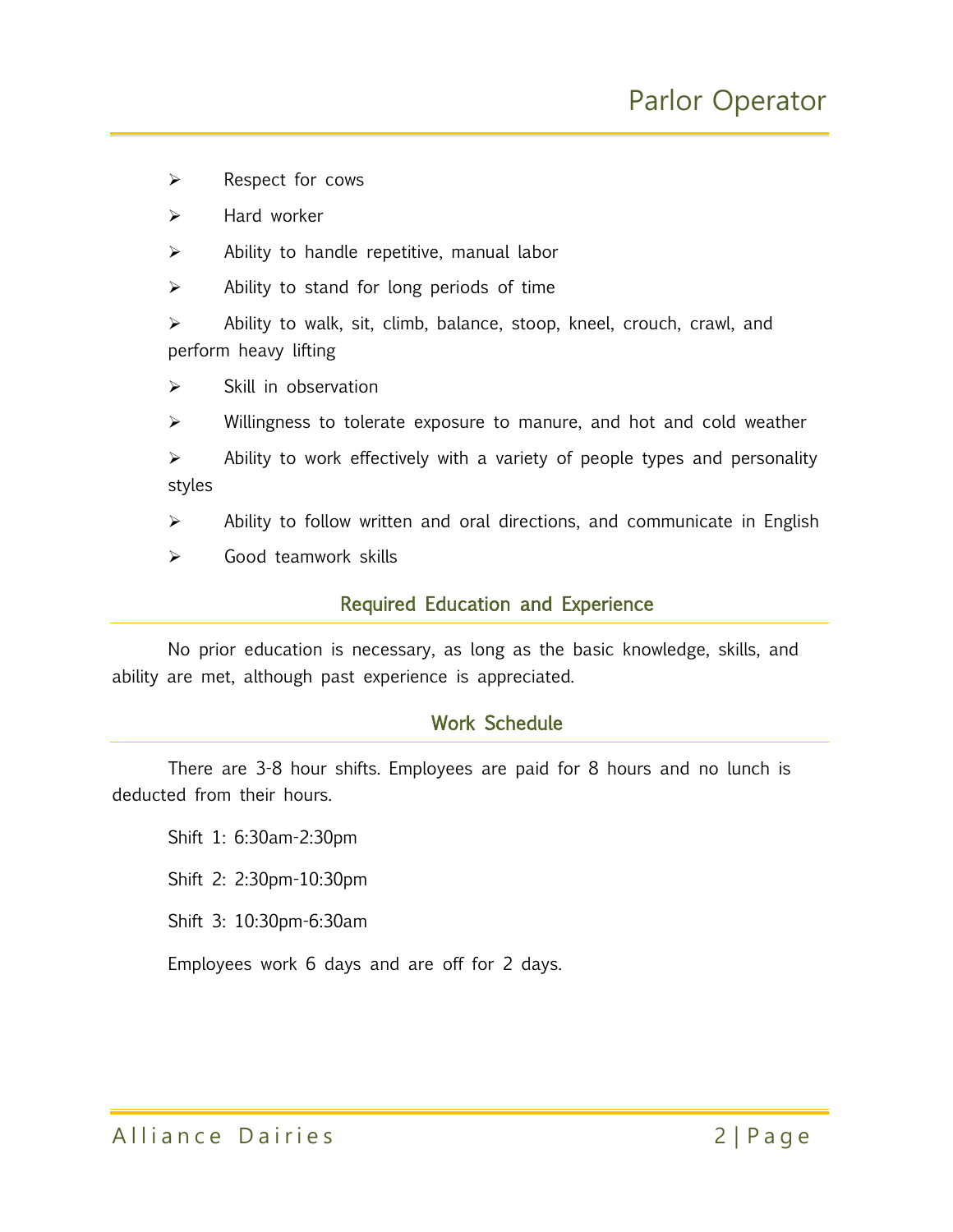- $\triangleright$  Respect for cows
- $\triangleright$  Hard worker
- $\triangleright$  Ability to handle repetitive, manual labor
- $\triangleright$  Ability to stand for long periods of time
- $\triangleright$  Ability to walk, sit, climb, balance, stoop, kneel, crouch, crawl, and perform heavy lifting
- $\triangleright$  Skill in observation
- $\triangleright$  Willingness to tolerate exposure to manure, and hot and cold weather
- $\triangleright$  Ability to work effectively with a variety of people types and personality styles
- $\triangleright$  Ability to follow written and oral directions, and communicate in English
- Good teamwork skills

#### Required Education and Experience

No prior education is necessary, as long as the basic knowledge, skills, and ability are met, although past experience is appreciated.

#### Work Schedule

There are 3-8 hour shifts. Employees are paid for 8 hours and no lunch is deducted from their hours.

Shift 1: 6:30am-2:30pm

Shift 2: 2:30pm-10:30pm

Shift 3: 10:30pm-6:30am

Employees work 6 days and are off for 2 days.

Alliance Dairies 2 | Page